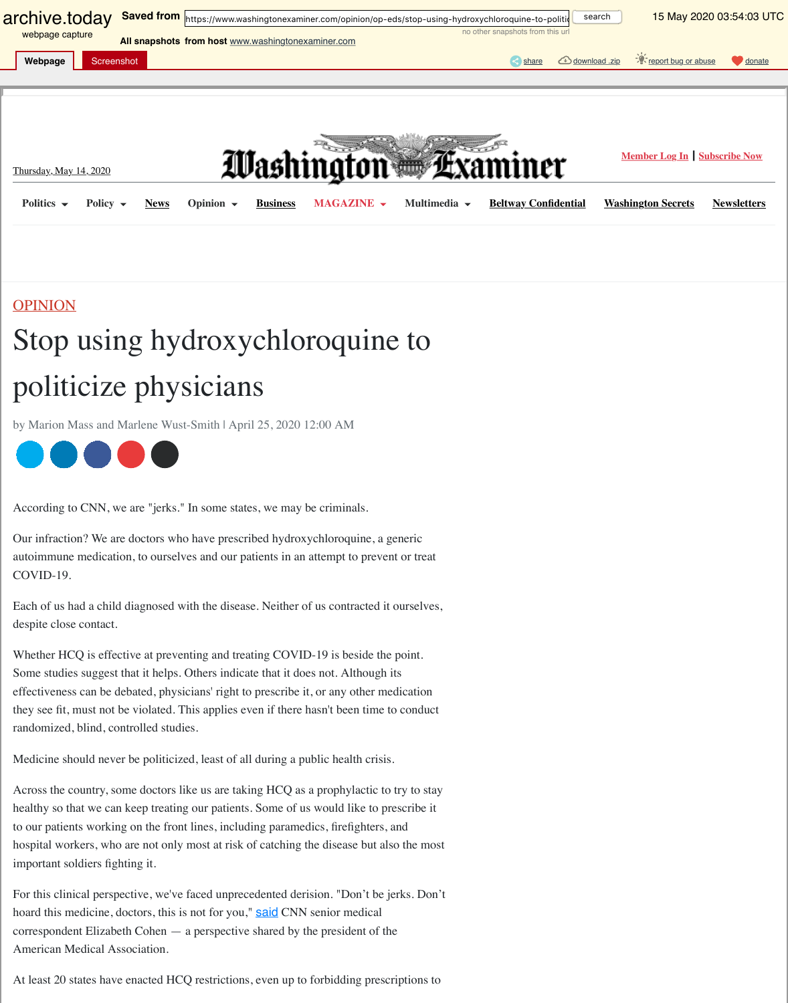## $\Gamma$  politicians physicians physicians  $\Gamma$

[by Marion Mass and](http://archive.today/) Marlene Wust-Smith | April 25, 2020 12:00 AM

## 

According to CNN, we are "jerks." In some states, we may be criminals.

Our infraction? We are doctors who have prescribed hydroxychloroquine, a generic [autoimmune medica](http://archive.vn/b9a9X#)tion, to ourselves and [our patients in an attempt to prevent or treat](https://archive.vn/o/b9a9X/https://www.washingtonexaminer.com/) COVID-19.

Each of us had a child dia[gnosed](https://archive.vn/o/b9a9X/https://www.washingtonexaminer.com/news) with the disease[. Neither](https://archive.vn/o/b9a9X/https://www.washingtonexaminer.com/business) of us contracted it ourselves, despite close contact.

Whether HCQ is effective at preventing and treating COVID-19 is beside the point. Some studies suggest that it helps. Others indicate that it does not. Although its [effectiveness](https://archive.vn/o/b9a9X/https://www.washingtonexaminer.com/opinion) can be debated, physicians' right to prescribe it, or any other medication they see fit, must not be violated. This applies even if there hasn't been time to conduct randomized, blind, controlled studies.

Medicine should never be politicized, least of all during a public health crisis.

Across the country, some doctors like us are taking HCQ as a prophylactic to try to stay healthy so that we can keep treating our patients. Some of us would like to prescribe it to our patients working on the front lines, including paramedics, firefighters, and [hospita](https://archive.vn/o/b9a9X/https://twitter.com/intent/tweet?url=https://washex.am/2KA0Zop&text=Stop%20using%20hydroxychloroquine%20to%20politicize%20physicians)[l work](https://archive.vn/o/b9a9X/https://www.linkedin.com/shareArticle?url=https://washex.am/2KA0Zop&mini=true&title=Stop%20using%20hydroxychloroquine%20to%20politicize%20physicians&summary=According%20to%20CNN,%20we%20are%20%22jerks.%22%20In%20some%20states,%20we%20may%20be%20criminals.&source=Washington%20Examiner)[ers, wh](https://archive.vn/o/b9a9X/https://www.facebook.com/dialog/share?app_id=190451957673826&display=popup&href=https://www.washingtonexaminer.com/opinion/op-eds/stop-using-hydroxychloroquine-to-politicize-physicians)[o are n](mailto:?subject=Stop%20using%20hydroxychloroquine%20to%20politicize%20physicians&body=https://www.washingtonexaminer.com/opinion/op-eds/stop-using-hydroxychloroquine-to-politicize-physicians)ot only most at risk of catching the disease but also the most important soldiers fighting it.

For this clinical perspective, we've faced unprecedented derision. "Don't be jerks. Don't hoard this medicine, doctors, this is not for you," said CNN senior medical correspondent Elizabeth Cohen — a perspective shared by the president of the American Medical Association.

At least 20 states have enacted HCQ restrictions, even up to forbidding prescriptions to